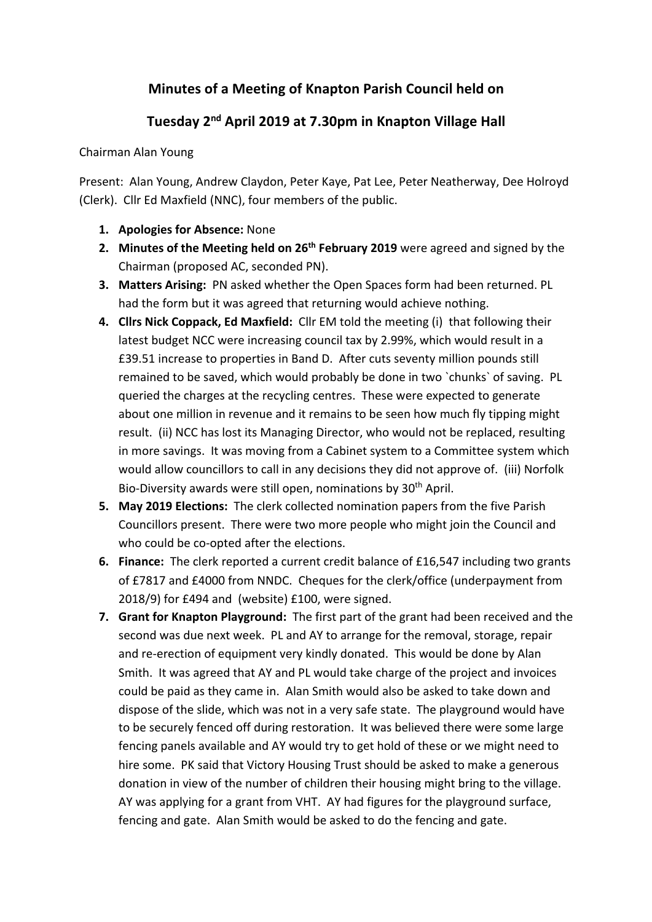## **Minutes of a Meeting of Knapton Parish Council held on**

## **Tuesday 2nd April 2019 at 7.30pm in Knapton Village Hall**

## Chairman Alan Young

Present: Alan Young, Andrew Claydon, Peter Kaye, Pat Lee, Peter Neatherway, Dee Holroyd (Clerk). Cllr Ed Maxfield (NNC), four members of the public.

- **1. Apologies for Absence:** None
- **2. Minutes of the Meeting held on 26th February 2019** were agreed and signed by the Chairman (proposed AC, seconded PN).
- **3. Matters Arising:** PN asked whether the Open Spaces form had been returned. PL had the form but it was agreed that returning would achieve nothing.
- **4. Cllrs Nick Coppack, Ed Maxfield:** Cllr EM told the meeting (i) that following their latest budget NCC were increasing council tax by 2.99%, which would result in a £39.51 increase to properties in Band D. After cuts seventy million pounds still remained to be saved, which would probably be done in two `chunks` of saving. PL queried the charges at the recycling centres. These were expected to generate about one million in revenue and it remains to be seen how much fly tipping might result. (ii) NCC has lost its Managing Director, who would not be replaced, resulting in more savings. It was moving from a Cabinet system to a Committee system which would allow councillors to call in any decisions they did not approve of. (iii) Norfolk Bio-Diversity awards were still open, nominations by 30<sup>th</sup> April.
- **5. May 2019 Elections:** The clerk collected nomination papers from the five Parish Councillors present. There were two more people who might join the Council and who could be co-opted after the elections.
- **6. Finance:** The clerk reported a current credit balance of £16,547 including two grants of £7817 and £4000 from NNDC. Cheques for the clerk/office (underpayment from 2018/9) for £494 and (website) £100, were signed.
- **7. Grant for Knapton Playground:** The first part of the grant had been received and the second was due next week. PL and AY to arrange for the removal, storage, repair and re-erection of equipment very kindly donated. This would be done by Alan Smith. It was agreed that AY and PL would take charge of the project and invoices could be paid as they came in. Alan Smith would also be asked to take down and dispose of the slide, which was not in a very safe state. The playground would have to be securely fenced off during restoration. It was believed there were some large fencing panels available and AY would try to get hold of these or we might need to hire some. PK said that Victory Housing Trust should be asked to make a generous donation in view of the number of children their housing might bring to the village. AY was applying for a grant from VHT. AY had figures for the playground surface, fencing and gate. Alan Smith would be asked to do the fencing and gate.